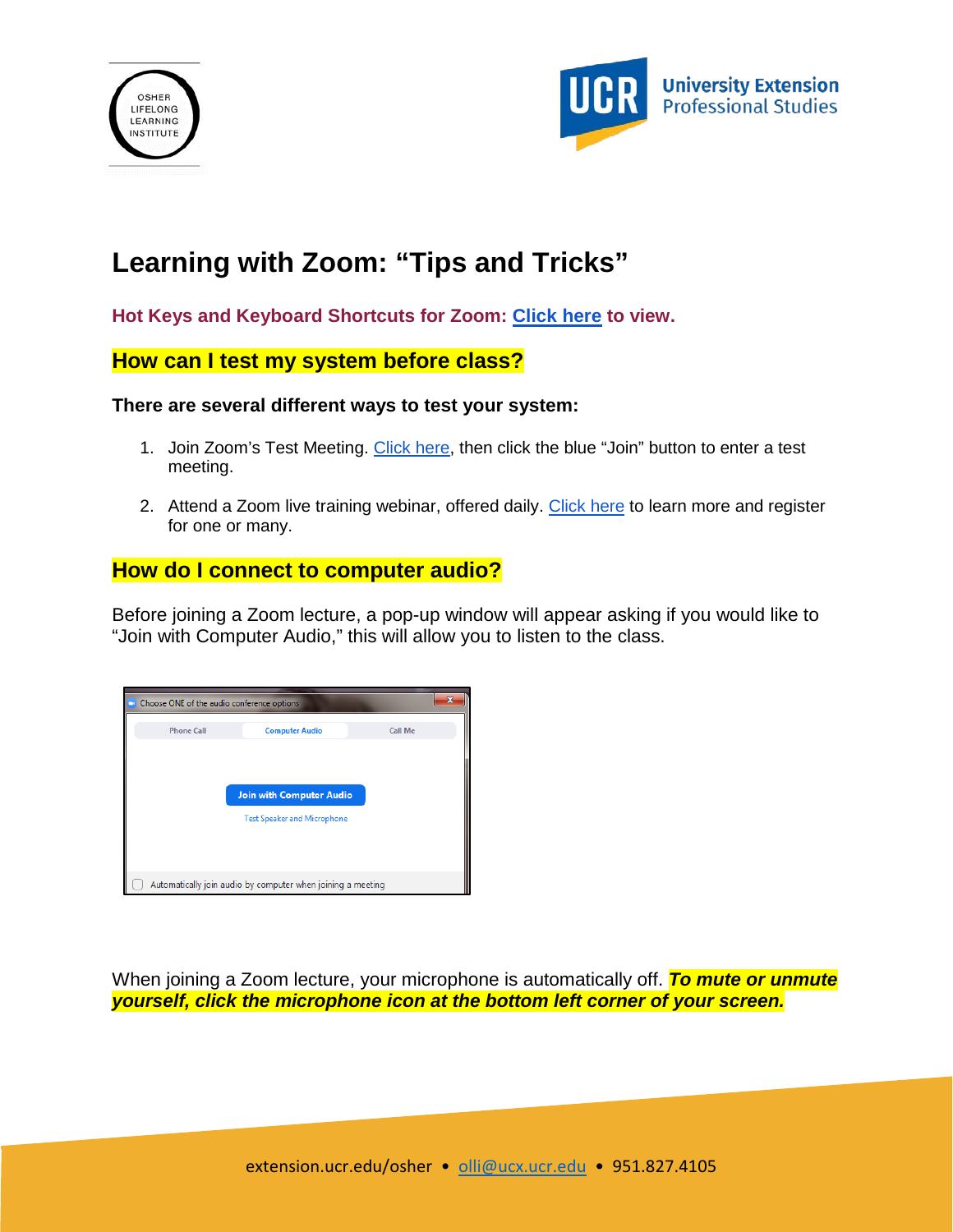



# **Learning with Zoom: "Tips and Tricks"**

**Hot Keys and Keyboard Shortcuts for Zoom: [Click here](https://support.zoom.us/hc/en-us/articles/205683899-Hot-Keys-and-Keyboard-Shortcuts-for-Zoom) to view.**

# **How can I test my system before class?**

**There are several different ways to test your system:**

- 1. Join Zoom's Test Meeting. [Click here,](https://zoom.us/test) then click the blue "Join" button to enter a test meeting.
- 2. Attend a Zoom live training webinar, offered daily. [Click here](https://support.zoom.us/hc/en-us/articles/360029527911) to learn more and register for one or many.

## **How do I connect to computer audio?**

Before joining a Zoom lecture, a pop-up window will appear asking if you would like to "Join with Computer Audio," this will allow you to listen to the class.



When joining a Zoom lecture, your microphone is automatically off. *To mute or unmute yourself, click the microphone icon at the bottom left corner of your screen.*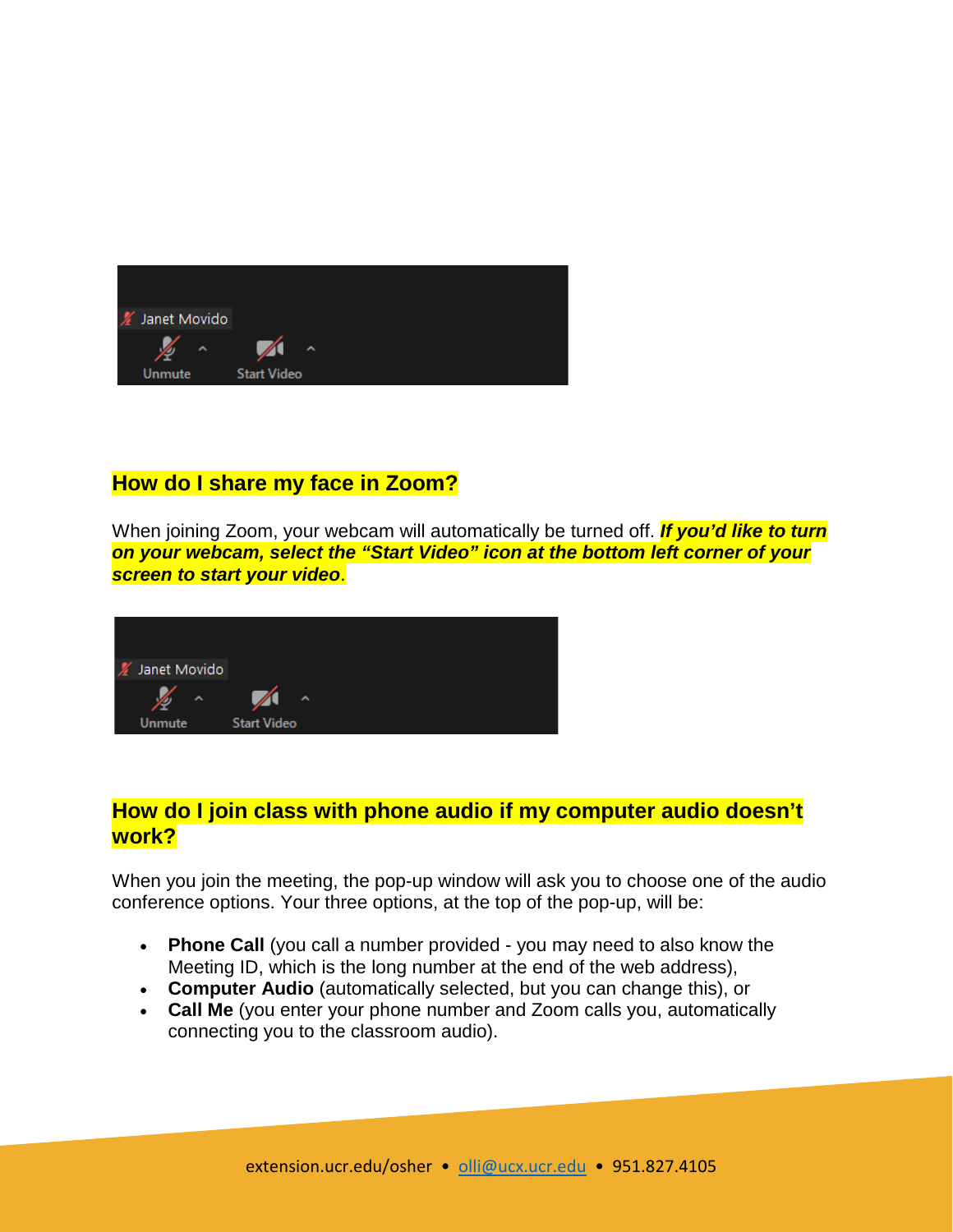

## **How do I share my face in Zoom?**

When joining Zoom, your webcam will automatically be turned off. *If you'd like to turn on your webcam, select the "Start Video" icon at the bottom left corner of your screen to start your video*.



# **How do I join class with phone audio if my computer audio doesn't work?**

When you join the meeting, the pop-up window will ask you to choose one of the audio conference options. Your three options, at the top of the pop-up, will be:

- **Phone Call** (you call a number provided you may need to also know the Meeting ID, which is the long number at the end of the web address),
- **Computer Audio** (automatically selected, but you can change this), or
- **Call Me** (you enter your phone number and Zoom calls you, automatically connecting you to the classroom audio).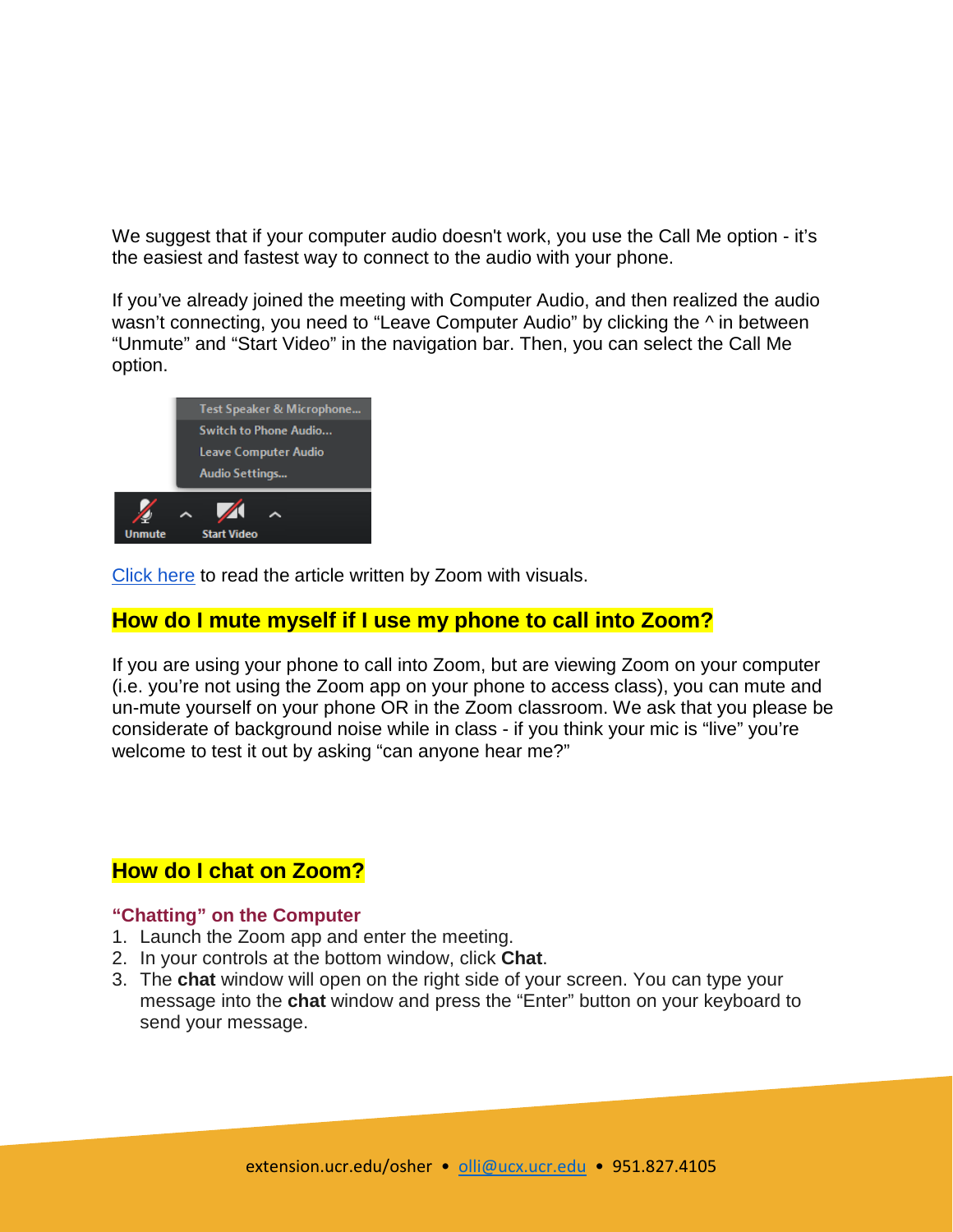We suggest that if your computer audio doesn't work, you use the Call Me option - it's the easiest and fastest way to connect to the audio with your phone.

If you've already joined the meeting with Computer Audio, and then realized the audio wasn't connecting, you need to "Leave Computer Audio" by clicking the  $\wedge$  in between "Unmute" and "Start Video" in the navigation bar. Then, you can select the Call Me option.



[Click here](https://support.zoom.us/hc/en-us/articles/201362663-Joining-a-meeting-by-phone) to read the article written by Zoom with visuals.

## **How do I mute myself if I use my phone to call into Zoom?**

If you are using your phone to call into Zoom, but are viewing Zoom on your computer (i.e. you're not using the Zoom app on your phone to access class), you can mute and un-mute yourself on your phone OR in the Zoom classroom. We ask that you please be considerate of background noise while in class - if you think your mic is "live" you're welcome to test it out by asking "can anyone hear me?"

## **How do I chat on Zoom?**

#### **"Chatting" on the Computer**

- 1. Launch the Zoom app and enter the meeting.
- 2. In your controls at the bottom window, click **Chat**.
- 3. The **chat** window will open on the right side of your screen. You can type your message into the **chat** window and press the "Enter" button on your keyboard to send your message.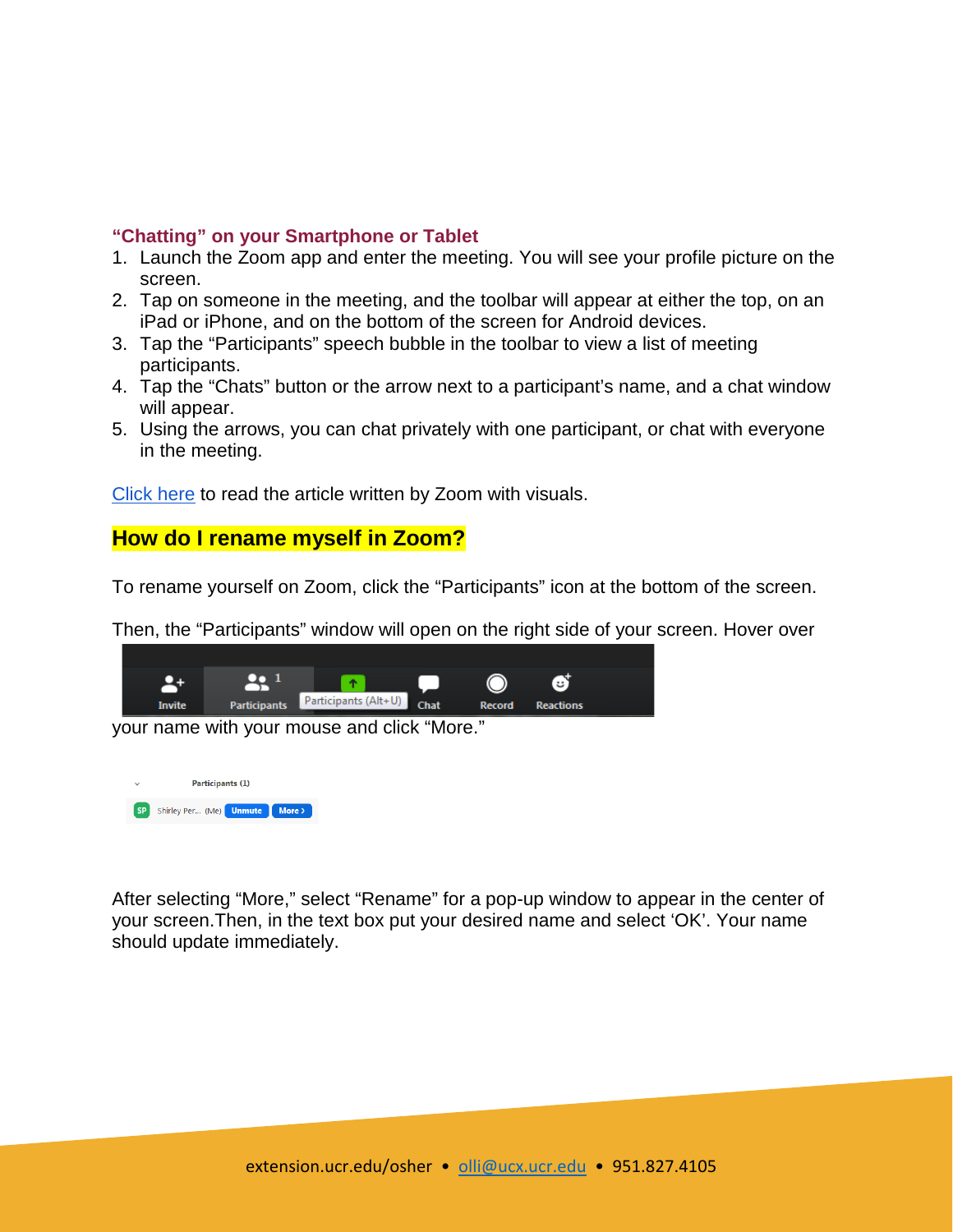#### **"Chatting" on your Smartphone or Tablet**

- 1. Launch the Zoom app and enter the meeting. You will see your profile picture on the screen.
- 2. Tap on someone in the meeting, and the toolbar will appear at either the top, on an iPad or iPhone, and on the bottom of the screen for Android devices.
- 3. Tap the "Participants" speech bubble in the toolbar to view a list of meeting participants.
- 4. Tap the "Chats" button or the arrow next to a participant's name, and a chat window will appear.
- 5. Using the arrows, you can chat privately with one participant, or chat with everyone in the meeting.

[Click here](https://support.zoom.us/hc/en-us/articles/203650445-In-Meeting-Chat) to read the article written by Zoom with visuals.

## **How do I rename myself in Zoom?**

To rename yourself on Zoom, click the "Participants" icon at the bottom of the screen.

Then, the "Participants" window will open on the right side of your screen. Hover over



your name with your mouse and click "More."



After selecting "More," select "Rename" for a pop-up window to appear in the center of your screen.Then, in the text box put your desired name and select 'OK'. Your name should update immediately.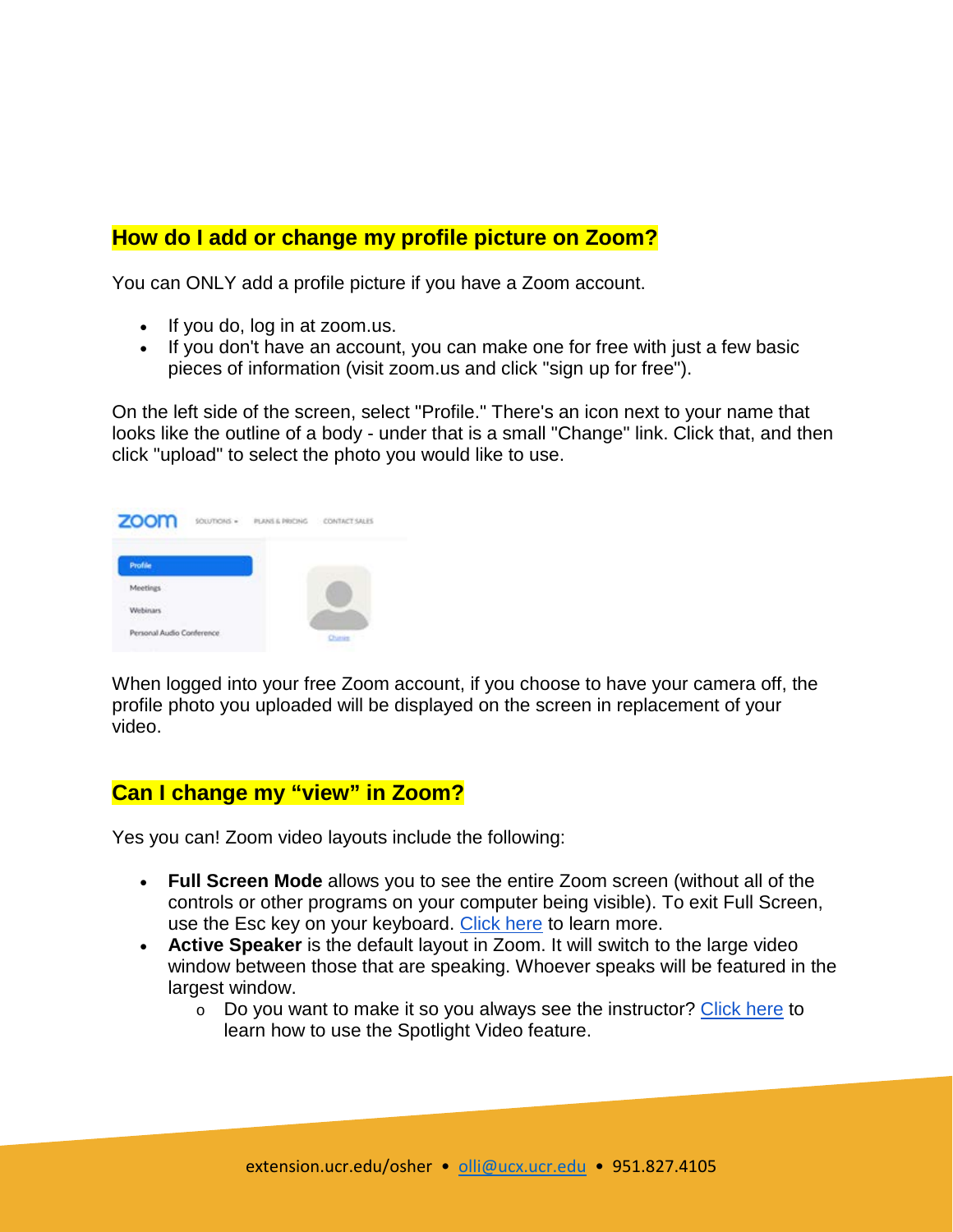# **How do I add or change my profile picture on Zoom?**

You can ONLY add a profile picture if you have a Zoom account.

- If you do, log in at zoom.us.
- If you don't have an account, you can make one for free with just a few basic pieces of information (visit zoom.us and click "sign up for free").

On the left side of the screen, select "Profile." There's an icon next to your name that looks like the outline of a body - under that is a small "Change" link. Click that, and then click "upload" to select the photo you would like to use.

| zoom                         | SOLUTIONS = | PLANS & PRICING CONTACT SALES |
|------------------------------|-------------|-------------------------------|
| <b>Profile</b>               |             |                               |
| Meetings                     |             |                               |
| <b>Webinars</b><br>9986-910T |             |                               |
| Personal Audio Conference    |             | Our                           |
|                              |             |                               |

When logged into your free Zoom account, if you choose to have your camera off, the profile photo you uploaded will be displayed on the screen in replacement of your video.

## **Can I change my "view" in Zoom?**

Yes you can! Zoom video layouts include the following:

- **Full Screen Mode** allows you to see the entire Zoom screen (without all of the controls or other programs on your computer being visible). To exit Full Screen, use the Esc key on your keyboard. [Click here](https://support.zoom.us/hc/en-us/articles/201362323-How-Do-I-Change-The-Video-Layout-#h_e64dbc14-fdcf-492b-8c65-6e918a7d8952) to learn more.
- **Active Speaker** is the default layout in Zoom. It will switch to the large video window between those that are speaking. Whoever speaks will be featured in the largest window.
	- $\circ$  Do you want to make it so you always see the instructor? [Click here](https://support.zoom.us/hc/en-us/articles/201362653-Spotlight-A-Video) to learn how to use the Spotlight Video feature.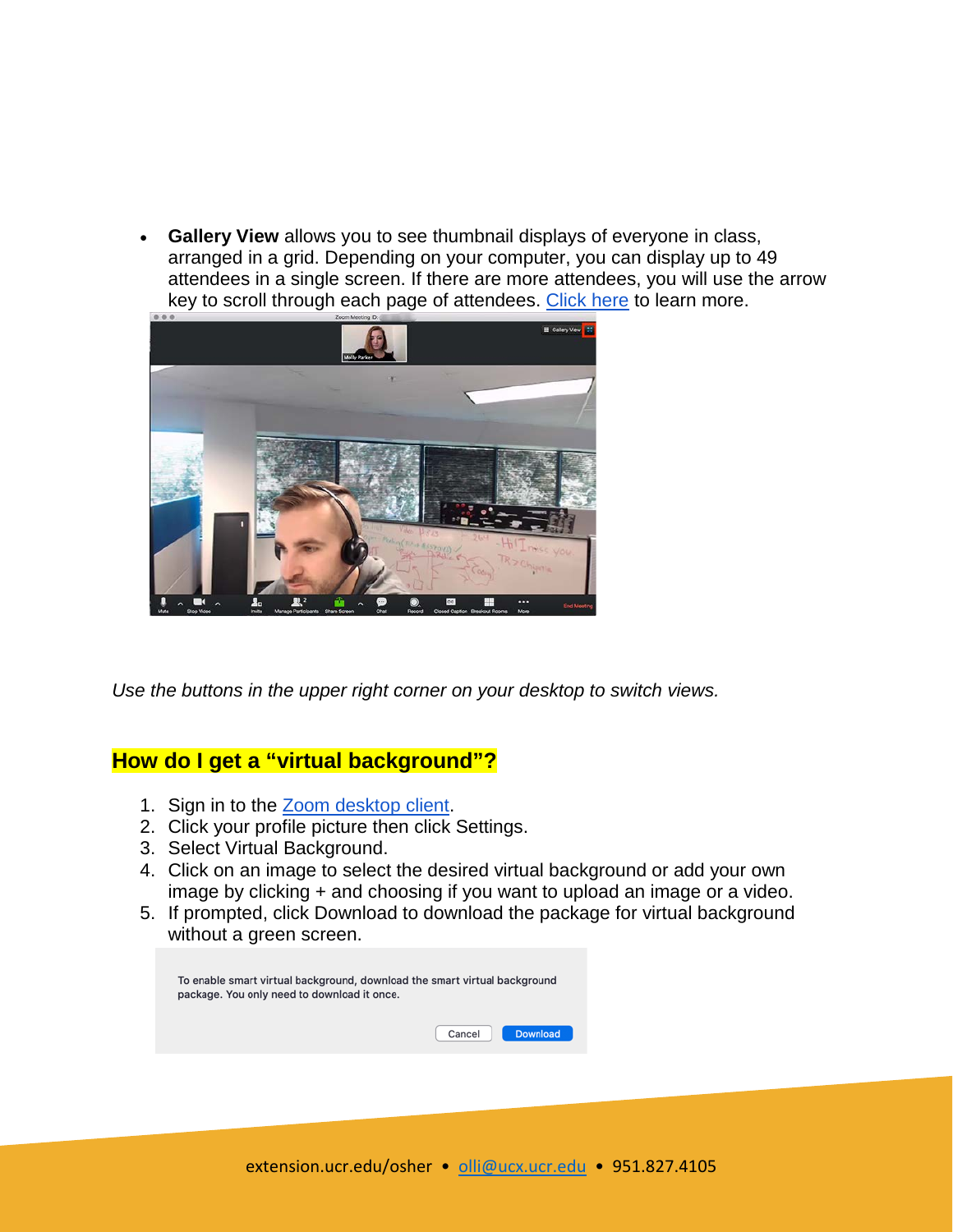• **Gallery View** allows you to see thumbnail displays of everyone in class, arranged in a grid. Depending on your computer, you can display up to 49 attendees in a single screen. If there are more attendees, you will use the arrow key to scroll through each page of attendees. [Click here](https://support.zoom.us/hc/en-us/articles/360000005883) to learn more.



*Use the buttons in the upper right corner on your desktop to switch views.*

## **How do I get a "virtual background"?**

- 1. Sign in to the [Zoom desktop client.](https://support.zoom.us/hc/en-us/articles/360032812931)
- 2. Click your profile picture then click Settings.
- 3. Select Virtual Background.
- 4. Click on an image to select the desired virtual background or add your own image by clicking + and choosing if you want to upload an image or a video.
- 5. If prompted, click Download to download the package for virtual background without a green screen.

| To enable smart virtual background, download the smart virtual background<br>package. You only need to download it once. |                           |
|--------------------------------------------------------------------------------------------------------------------------|---------------------------|
|                                                                                                                          | <b>Download</b><br>Cancel |
|                                                                                                                          |                           |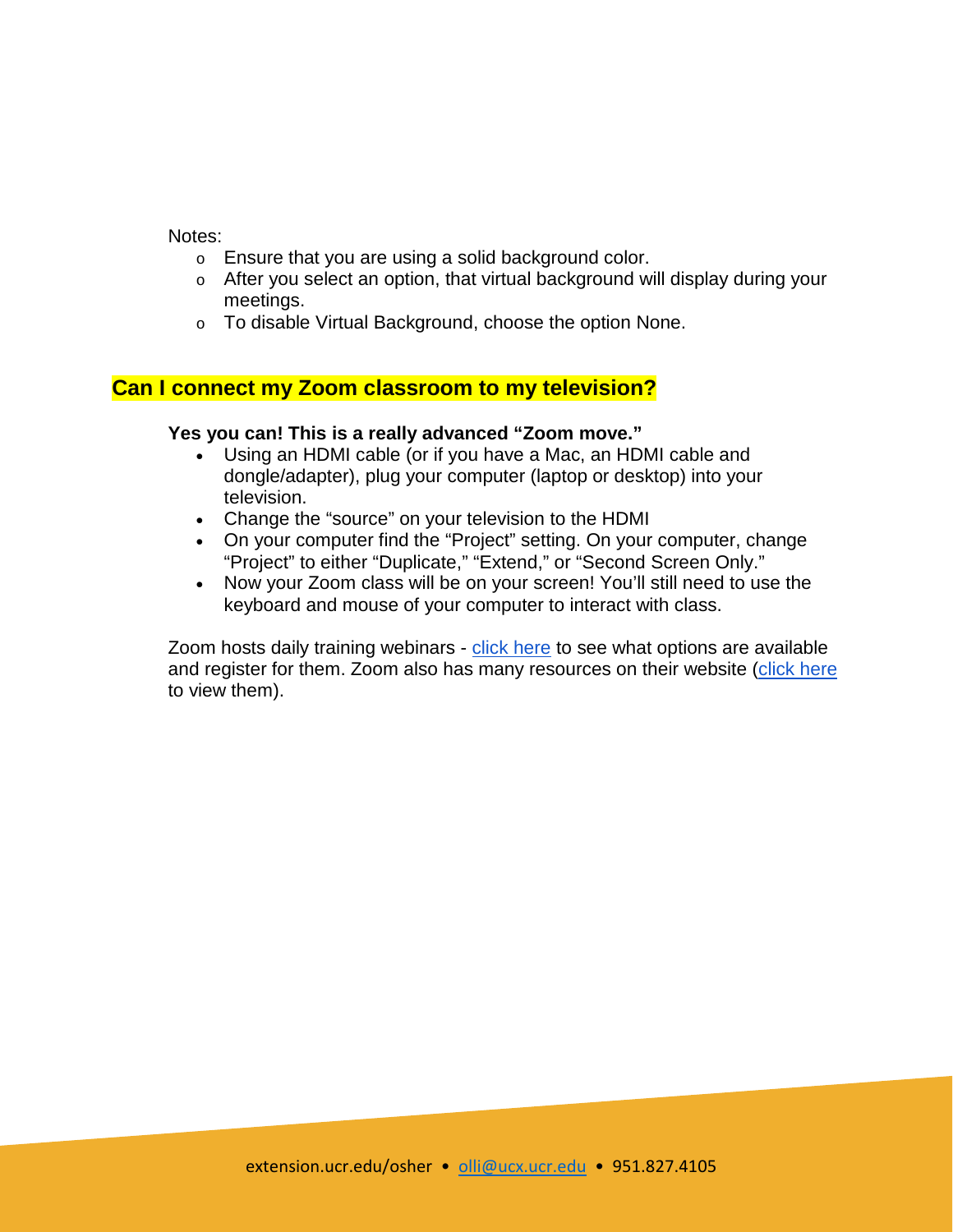Notes:

- o Ensure that you are using a solid background color.
- o After you select an option, that virtual background will display during your meetings.
- o To disable Virtual Background, choose the option None.

### **Can I connect my Zoom classroom to my television?**

#### **Yes you can! This is a really advanced "Zoom move."**

- Using an HDMI cable (or if you have a Mac, an HDMI cable and dongle/adapter), plug your computer (laptop or desktop) into your television.
- Change the "source" on your television to the HDMI
- On your computer find the "Project" setting. On your computer, change "Project" to either "Duplicate," "Extend," or "Second Screen Only."
- Now your Zoom class will be on your screen! You'll still need to use the keyboard and mouse of your computer to interact with class.

Zoom hosts daily training webinars - [click here](https://support.zoom.us/hc/en-us/articles/360029527911) to see what options are available and register for them. Zoom also has many resources on their website [\(click here](https://support.zoom.us/hc/en-us) to view them).